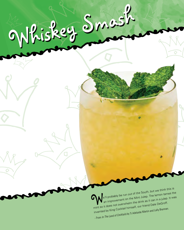**We'll probably be run out of the South, but we think this is a line of the South, but we think this is a line of the Mint Julep.** The lemon tames the  $\bullet$  an improvement on the Mint Julep. The lemon tames the mint so it does not overwhelm the drink as it can in a julep. It was invented by King Cocktail himself, our friend Dale DeGroff. - From *In The Land of Cocktails* by Ti Adelaide Martin and Lally Brennan.

Whiskey Smash Whiskey Smash